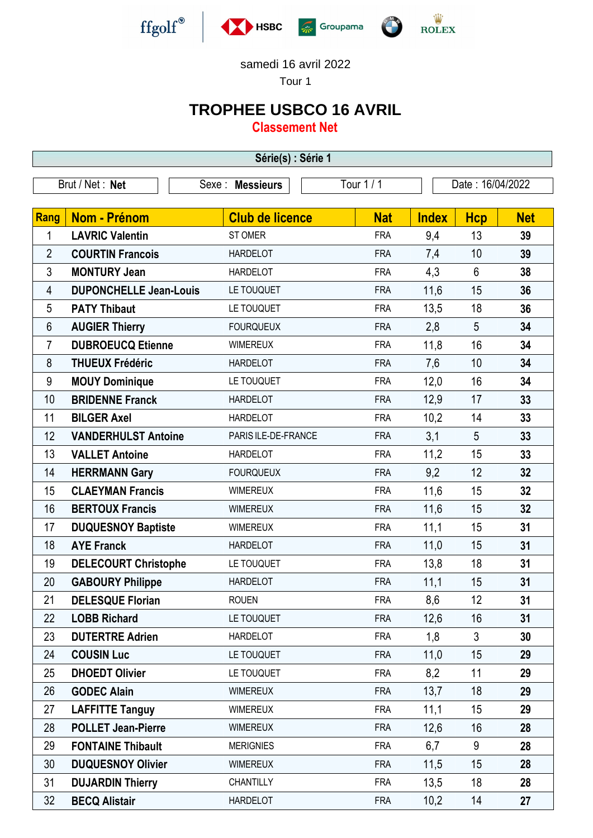

samedi 16 avril 2022

Tour 1

## **TROPHEE USBCO 16 AVRIL**

**Classement Net**

| Série(s) : Série 1 |                               |                        |            |                  |                |            |  |  |  |  |
|--------------------|-------------------------------|------------------------|------------|------------------|----------------|------------|--|--|--|--|
|                    | Brut / Net: Net               | Sexe: Messieurs        | Tour $1/1$ | Date: 16/04/2022 |                |            |  |  |  |  |
| Rang               | <b>Nom - Prénom</b>           | <b>Club de licence</b> | <b>Nat</b> | <b>Index</b>     | <b>Hcp</b>     | <b>Net</b> |  |  |  |  |
| 1                  | <b>LAVRIC Valentin</b>        | <b>ST OMER</b>         | <b>FRA</b> | 9,4              | 13             | 39         |  |  |  |  |
| $\overline{2}$     | <b>COURTIN Francois</b>       | <b>HARDELOT</b>        | <b>FRA</b> | 7,4              | 10             | 39         |  |  |  |  |
| 3                  | <b>MONTURY Jean</b>           | <b>HARDELOT</b>        | <b>FRA</b> | 4,3              | $6\phantom{1}$ | 38         |  |  |  |  |
| 4                  | <b>DUPONCHELLE Jean-Louis</b> | LE TOUQUET             | <b>FRA</b> | 11,6             | 15             | 36         |  |  |  |  |
| 5                  | <b>PATY Thibaut</b>           | LE TOUQUET             | <b>FRA</b> | 13,5             | 18             | 36         |  |  |  |  |
| $6\phantom{1}$     | <b>AUGIER Thierry</b>         | <b>FOURQUEUX</b>       | <b>FRA</b> | 2,8              | 5              | 34         |  |  |  |  |
| 7                  | <b>DUBROEUCQ Etienne</b>      | <b>WIMEREUX</b>        | <b>FRA</b> | 11,8             | 16             | 34         |  |  |  |  |
| 8                  | <b>THUEUX Frédéric</b>        | <b>HARDELOT</b>        | <b>FRA</b> | 7,6              | 10             | 34         |  |  |  |  |
| $\boldsymbol{9}$   | <b>MOUY Dominique</b>         | LE TOUQUET             | <b>FRA</b> | 12,0             | 16             | 34         |  |  |  |  |
| 10                 | <b>BRIDENNE Franck</b>        | <b>HARDELOT</b>        | <b>FRA</b> | 12,9             | 17             | 33         |  |  |  |  |
| 11                 | <b>BILGER Axel</b>            | <b>HARDELOT</b>        | <b>FRA</b> | 10,2             | 14             | 33         |  |  |  |  |
| 12                 | <b>VANDERHULST Antoine</b>    | PARIS ILE-DE-FRANCE    | <b>FRA</b> | 3,1              | 5              | 33         |  |  |  |  |
| 13                 | <b>VALLET Antoine</b>         | <b>HARDELOT</b>        | <b>FRA</b> | 11,2             | 15             | 33         |  |  |  |  |
| 14                 | <b>HERRMANN Gary</b>          | <b>FOURQUEUX</b>       | <b>FRA</b> | 9,2              | 12             | 32         |  |  |  |  |
| 15                 | <b>CLAEYMAN Francis</b>       | <b>WIMEREUX</b>        | <b>FRA</b> | 11,6             | 15             | 32         |  |  |  |  |
| 16                 | <b>BERTOUX Francis</b>        | <b>WIMEREUX</b>        | <b>FRA</b> | 11,6             | 15             | 32         |  |  |  |  |
| 17                 | <b>DUQUESNOY Baptiste</b>     | <b>WIMEREUX</b>        | <b>FRA</b> | 11,1             | 15             | 31         |  |  |  |  |
| 18                 | <b>AYE Franck</b>             | <b>HARDELOT</b>        | <b>FRA</b> | 11,0             | 15             | 31         |  |  |  |  |
| 19                 | <b>DELECOURT Christophe</b>   | LE TOUQUET             | <b>FRA</b> | 13,8             | 18             | 31         |  |  |  |  |
| 20                 | <b>GABOURY Philippe</b>       | <b>HARDELOT</b>        | <b>FRA</b> | 11,1             | 15             | 31         |  |  |  |  |
| 21                 | <b>DELESQUE Florian</b>       | <b>ROUEN</b>           | <b>FRA</b> | 8,6              | 12             | 31         |  |  |  |  |
| 22                 | <b>LOBB Richard</b>           | LE TOUQUET             | <b>FRA</b> | 12,6             | 16             | 31         |  |  |  |  |
| 23                 | <b>DUTERTRE Adrien</b>        | <b>HARDELOT</b>        | <b>FRA</b> | 1,8              | $\mathfrak{Z}$ | 30         |  |  |  |  |
| 24                 | <b>COUSIN Luc</b>             | LE TOUQUET             | <b>FRA</b> | 11,0             | 15             | 29         |  |  |  |  |
| 25                 | <b>DHOEDT Olivier</b>         | LE TOUQUET             | <b>FRA</b> | 8,2              | 11             | 29         |  |  |  |  |
| 26                 | <b>GODEC Alain</b>            | <b>WIMEREUX</b>        | <b>FRA</b> | 13,7             | 18             | 29         |  |  |  |  |
| 27                 | <b>LAFFITTE Tanguy</b>        | <b>WIMEREUX</b>        | <b>FRA</b> | 11,1             | 15             | 29         |  |  |  |  |
| 28                 | <b>POLLET Jean-Pierre</b>     | <b>WIMEREUX</b>        | <b>FRA</b> | 12,6             | 16             | 28         |  |  |  |  |
| 29                 | <b>FONTAINE Thibault</b>      | <b>MERIGNIES</b>       | <b>FRA</b> | 6,7              | 9              | 28         |  |  |  |  |
| 30                 | <b>DUQUESNOY Olivier</b>      | <b>WIMEREUX</b>        | <b>FRA</b> | 11,5             | 15             | 28         |  |  |  |  |
| 31                 | <b>DUJARDIN Thierry</b>       | <b>CHANTILLY</b>       | <b>FRA</b> | 13,5             | 18             | 28         |  |  |  |  |
| 32                 | <b>BECQ Alistair</b>          | <b>HARDELOT</b>        | <b>FRA</b> | 10,2             | 14             | 27         |  |  |  |  |